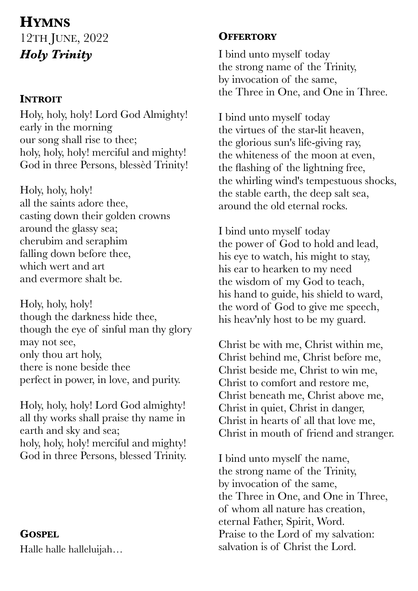# **HYMNS** 12TH JUNE, 2022 *Holy Trinity*

### **INTROIT**

Holy, holy, holy! Lord God Almighty! early in the morning our song shall rise to thee; holy, holy, holy! merciful and mighty! God in three Persons, blessèd Trinity!

Holy, holy, holy! all the saints adore thee, casting down their golden crowns around the glassy sea; cherubim and seraphim falling down before thee, which wert and art and evermore shalt be.

Holy, holy, holy! though the darkness hide thee, though the eye of sinful man thy glory may not see, only thou art holy, there is none beside thee perfect in power, in love, and purity.

Holy, holy, holy! Lord God almighty! all thy works shall praise thy name in earth and sky and sea; holy, holy, holy! merciful and mighty! God in three Persons, blessed Trinity.

### **GOSPEL**

Halle halle halleluijah…

## **OFFERTORY**

I bind unto myself today the strong name of the Trinity, by invocation of the same, the Three in One, and One in Three.

I bind unto myself today the virtues of the star-lit heaven, the glorious sun's life-giving ray, the whiteness of the moon at even, the flashing of the lightning free, the whirling wind's tempestuous shocks, the stable earth, the deep salt sea, around the old eternal rocks.

I bind unto myself today the power of God to hold and lead, his eye to watch, his might to stay, his ear to hearken to my need the wisdom of my God to teach, his hand to guide, his shield to ward, the word of God to give me speech, his heav'nly host to be my guard.

Christ be with me, Christ within me, Christ behind me, Christ before me, Christ beside me, Christ to win me, Christ to comfort and restore me, Christ beneath me, Christ above me, Christ in quiet, Christ in danger, Christ in hearts of all that love me, Christ in mouth of friend and stranger.

I bind unto myself the name, the strong name of the Trinity, by invocation of the same, the Three in One, and One in Three, of whom all nature has creation, eternal Father, Spirit, Word. Praise to the Lord of my salvation: salvation is of Christ the Lord.